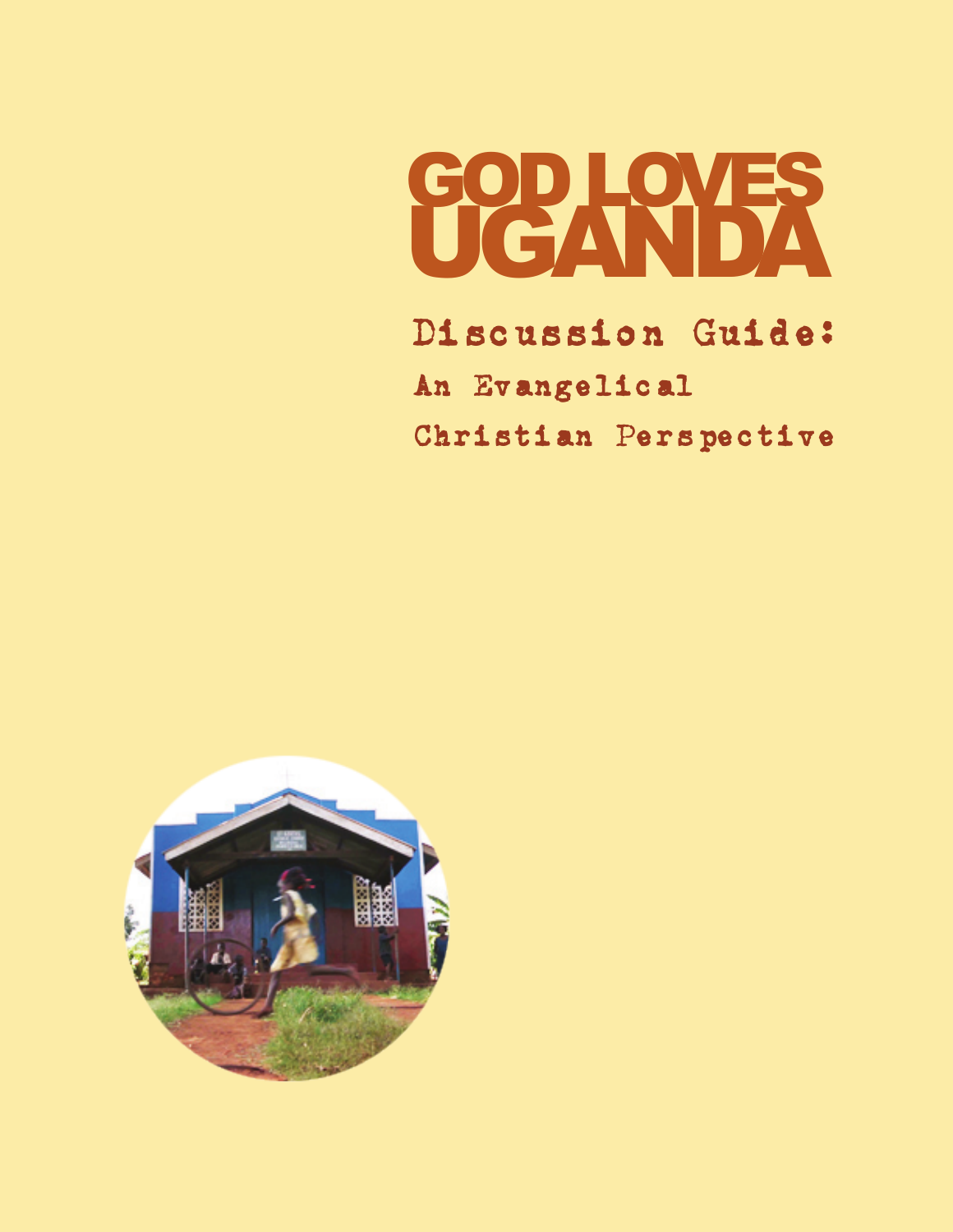

# Discussion Guide: An Evangelical Christian Perspective

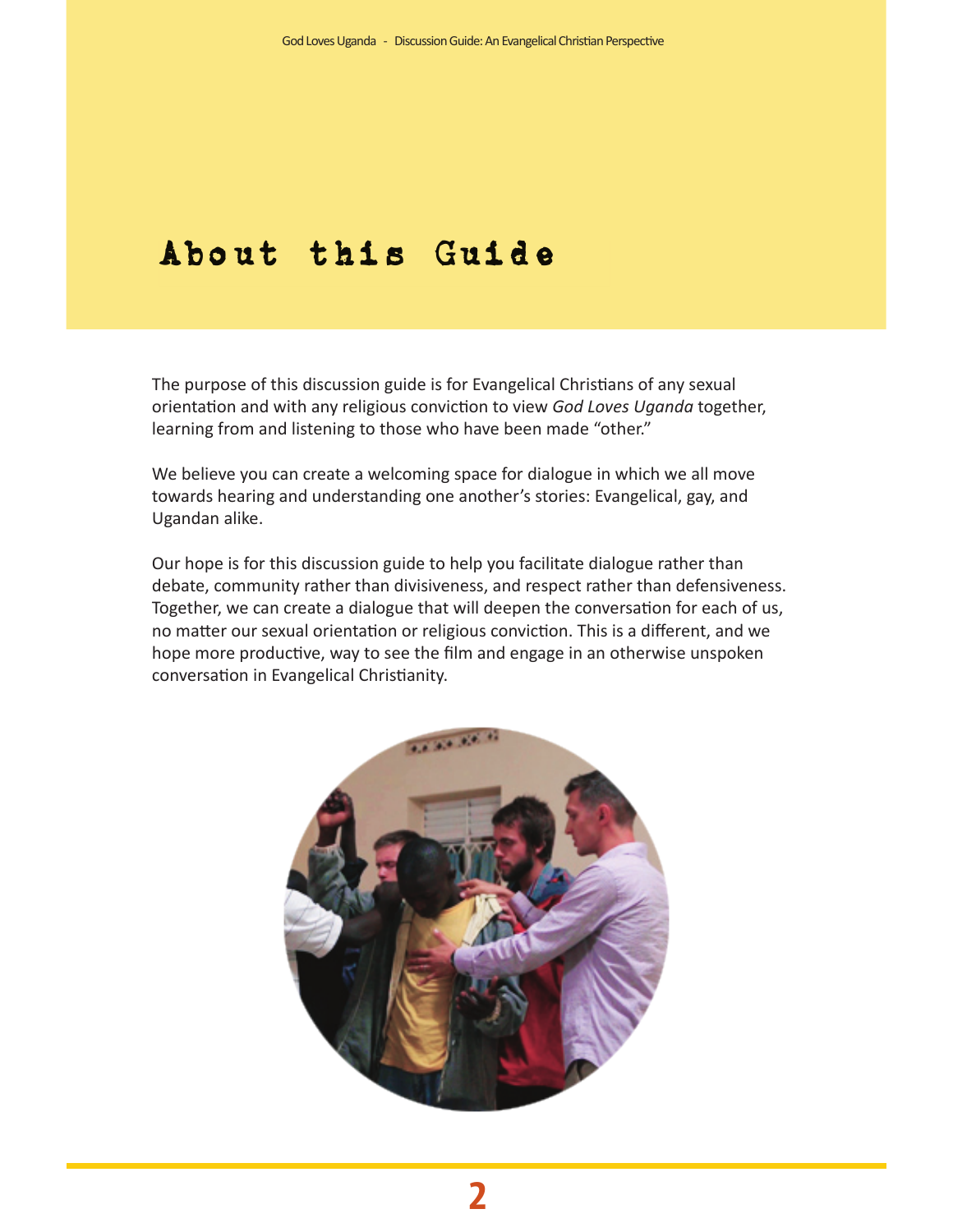# About this Guide

The purpose of this discussion guide is for Evangelical Christians of any sexual orientation and with any religious conviction to view *God Loves Uganda* together, learning from and listening to those who have been made "other."

We believe you can create a welcoming space for dialogue in which we all move towards hearing and understanding one another's stories: Evangelical, gay, and Ugandan alike.

Our hope is for this discussion guide to help you facilitate dialogue rather than debate, community rather than divisiveness, and respect rather than defensiveness. Together, we can create a dialogue that will deepen the conversation for each of us, no matter our sexual orientation or religious conviction. This is a different, and we hope more productive, way to see the film and engage in an otherwise unspoken conversation in Evangelical Christianity.

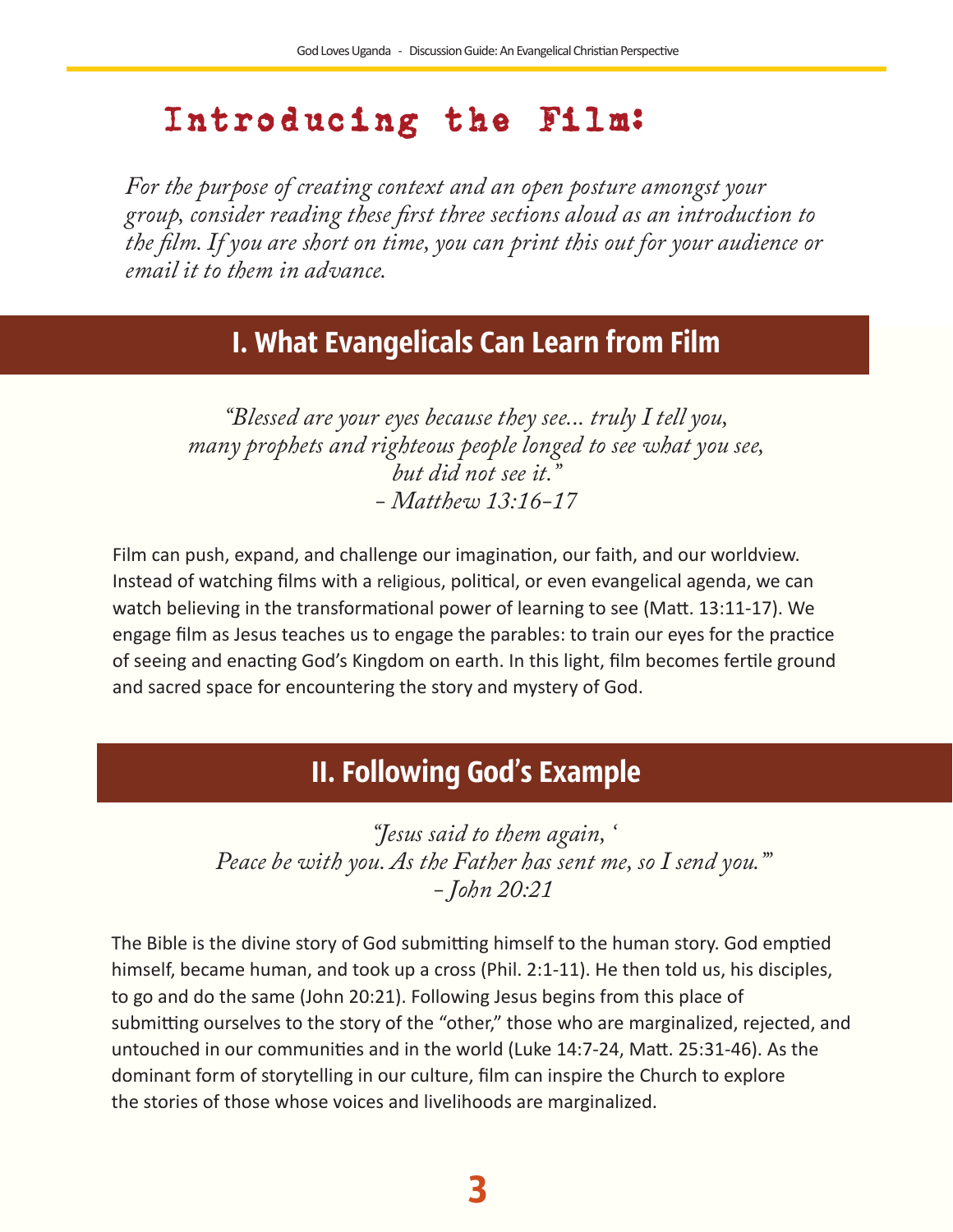## Introducing the Film:

*For the purpose of creating context and an open posture amongst your group, consider reading these first three sections aloud as an introduction to the film. If you are short on time, you can print this out for your audience or email it to them in advance.* 

#### I. What Evangelicals Can Learn from Film

*"Blessed are your eyes because they see... truly I tell you, many prophets and righteous people longed to see what you see, but did not see it." - Matthew 13:16-17*

Film can push, expand, and challenge our imagination, our faith, and our worldview. Instead of watching films with a religious, political, or even evangelical agenda, we can watch believing in the transformational power of learning to see (Matt. 13:11-17). We engage film as Jesus teaches us to engage the parables: to train our eyes for the practice of seeing and enacting God's Kingdom on earth. In this light, film becomes fertile ground and sacred space for encountering the story and mystery of God.

#### II. Following God's Example

*"Jesus said to them again, ' Peace be with you. As the Father has sent me, so I send you.'" - John 20:21*

The Bible is the divine story of God submitting himself to the human story. God emptied himself, became human, and took up a cross (Phil. 2:1-11). He then told us, his disciples, to go and do the same (John 20:21). Following Jesus begins from this place of submitting ourselves to the story of the "other," those who are marginalized, rejected, and untouched in our communities and in the world (Luke 14:7-24, Matt. 25:31-46). As the dominant form of storytelling in our culture, film can inspire the Church to explore the stories of those whose voices and livelihoods are marginalized.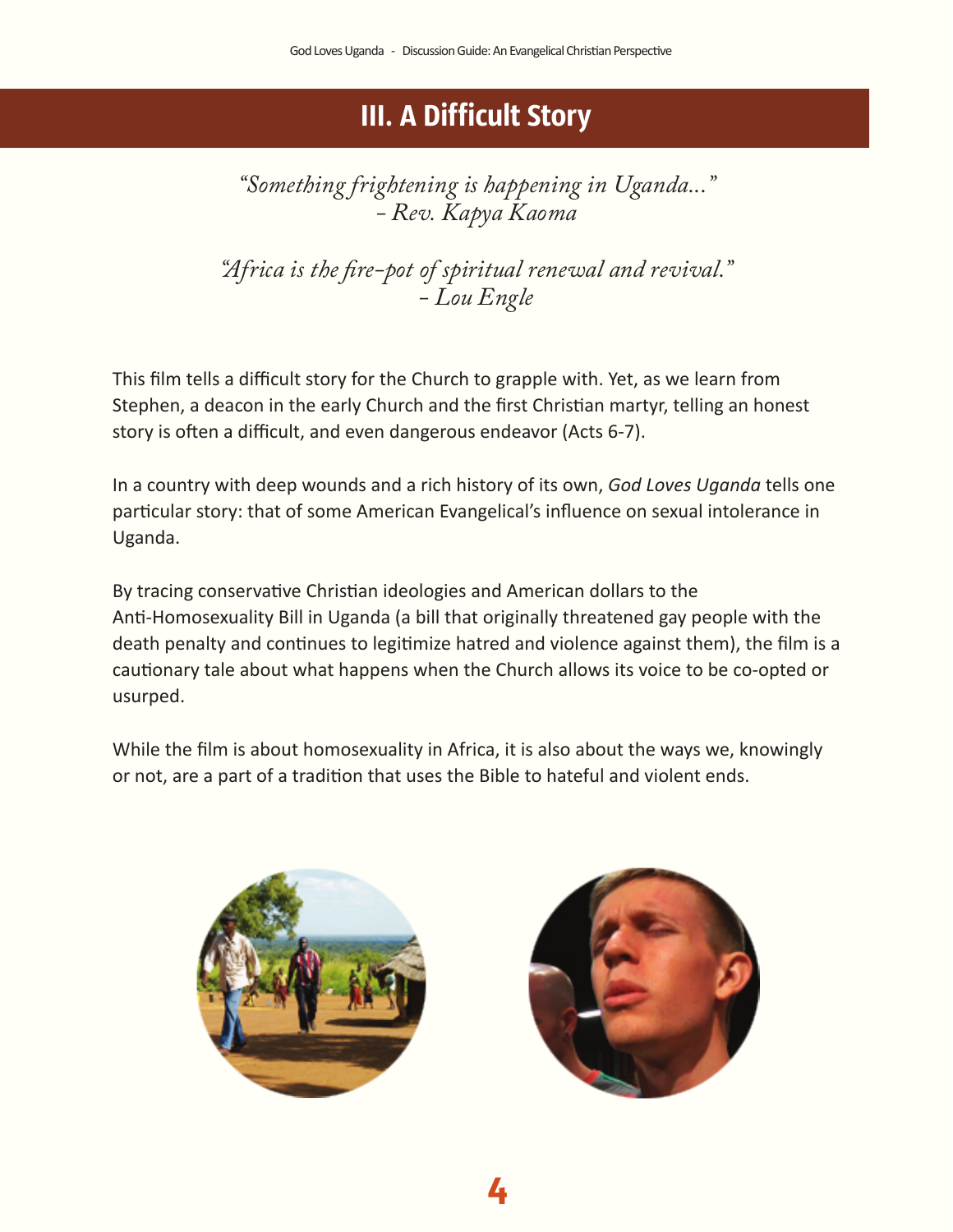#### III. A Difficult Story

*"Something frightening is happening in Uganda..." - Rev. Kapya Kaoma*

*"Africa is the fire-pot of spiritual renewal and revival." - Lou Engle*

This film tells a difficult story for the Church to grapple with. Yet, as we learn from Stephen, a deacon in the early Church and the first Christian martyr, telling an honest story is often a difficult, and even dangerous endeavor (Acts 6-7).

In a country with deep wounds and a rich history of its own, *God Loves Uganda* tells one particular story: that of some American Evangelical's influence on sexual intolerance in Uganda.

By tracing conservative Christian ideologies and American dollars to the Anti-Homosexuality Bill in Uganda (a bill that originally threatened gay people with the death penalty and continues to legitimize hatred and violence against them), the film is a cautionary tale about what happens when the Church allows its voice to be co-opted or usurped.

While the film is about homosexuality in Africa, it is also about the ways we, knowingly or not, are a part of a tradition that uses the Bible to hateful and violent ends.



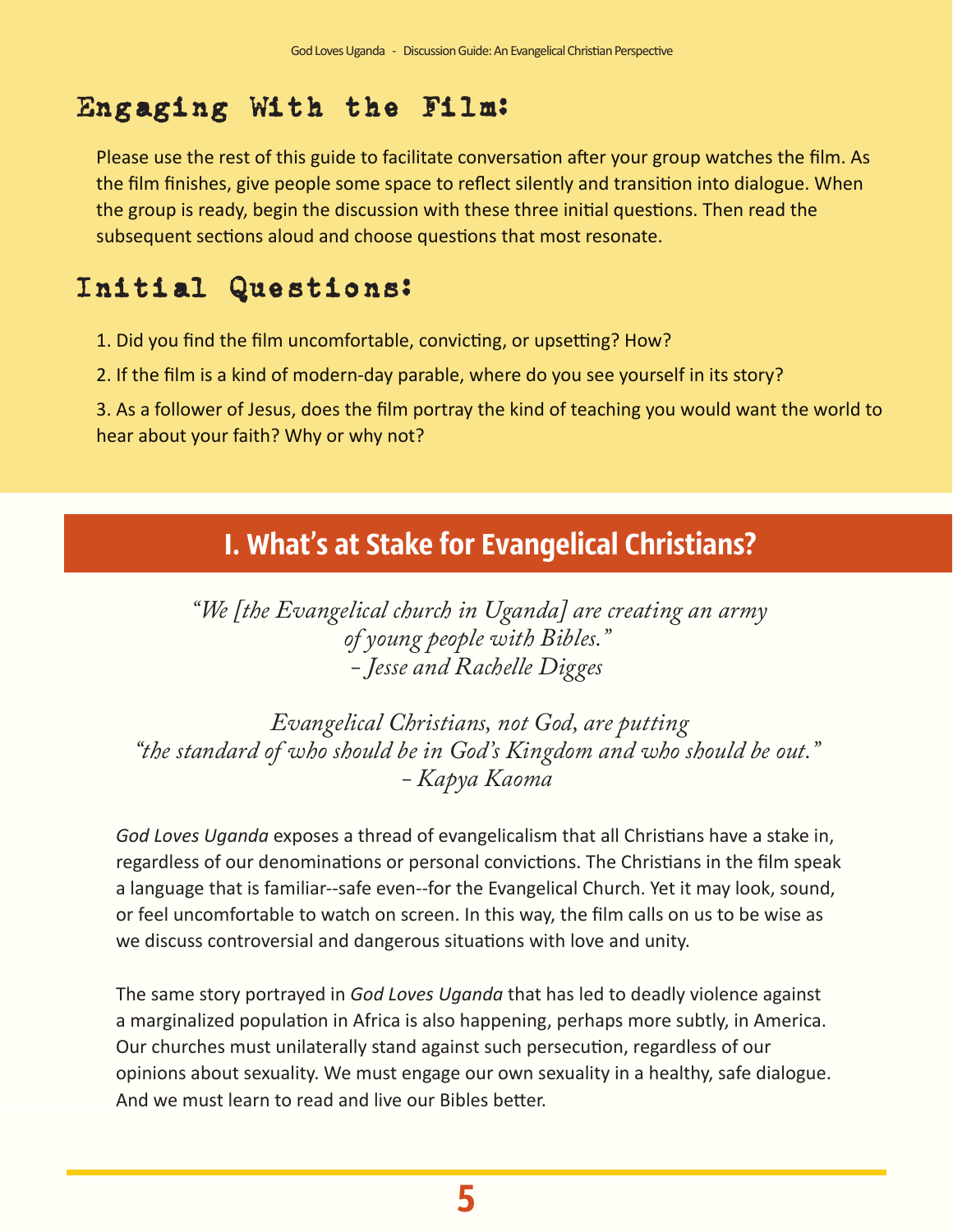# Engaging With the Film:

Please use the rest of this guide to facilitate conversation after your group watches the film. As the film finishes, give people some space to reflect silently and transition into dialogue. When the group is ready, begin the discussion with these three initial questions. Then read the subsequent sections aloud and choose questions that most resonate.

# Initial Questions:

1. Did you find the film uncomfortable, convicting, or upsetting? How?

2. If the film is a kind of modern-day parable, where do you see yourself in its story?

3. As a follower of Jesus, does the film portray the kind of teaching you would want the world to hear about your faith? Why or why not?

#### I. What's at Stake for Evangelical Christians?

 *"We [the Evangelical church in Uganda] are creating an army of young people with Bibles." - Jesse and Rachelle Digges*

 *Evangelical Christians, not God, are putting "the standard of who should be in God's Kingdom and who should be out." - Kapya Kaoma*

*God Loves Uganda* exposes a thread of evangelicalism that all Christians have a stake in, regardless of our denominations or personal convictions. The Christians in the film speak a language that is familiar--safe even--for the Evangelical Church. Yet it may look, sound, or feel uncomfortable to watch on screen. In this way, the film calls on us to be wise as we discuss controversial and dangerous situations with love and unity.

The same story portrayed in *God Loves Uganda* that has led to deadly violence against a marginalized population in Africa is also happening, perhaps more subtly, in America. Our churches must unilaterally stand against such persecution, regardless of our opinions about sexuality. We must engage our own sexuality in a healthy, safe dialogue. And we must learn to read and live our Bibles better.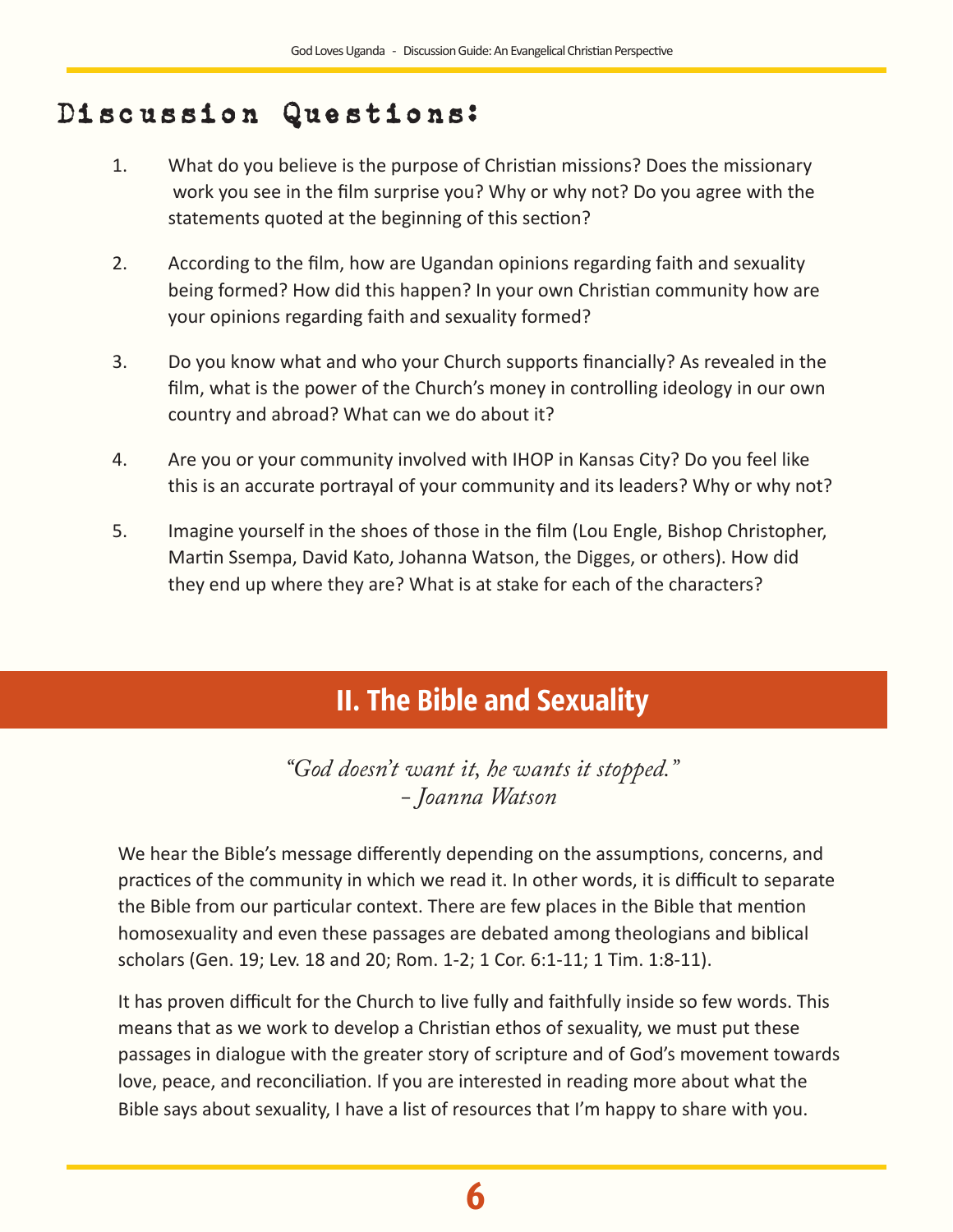#### Discussion Questions:

- 1. What do you believe is the purpose of Christian missions? Does the missionary work you see in the film surprise you? Why or why not? Do you agree with the statements quoted at the beginning of this section?
- 2. According to the film, how are Ugandan opinions regarding faith and sexuality being formed? How did this happen? In your own Christian community how are your opinions regarding faith and sexuality formed?
- 3. Do you know what and who your Church supports financially? As revealed in the film, what is the power of the Church's money in controlling ideology in our own country and abroad? What can we do about it?
- 4. Are you or your community involved with IHOP in Kansas City? Do you feel like this is an accurate portrayal of your community and its leaders? Why or why not?
- 5. Imagine yourself in the shoes of those in the film (Lou Engle, Bishop Christopher, Martin Ssempa, David Kato, Johanna Watson, the Digges, or others). How did they end up where they are? What is at stake for each of the characters?

#### II. The Bible and Sexuality

 *"God doesn't want it, he wants it stopped." - Joanna Watson*

We hear the Bible's message differently depending on the assumptions, concerns, and practices of the community in which we read it. In other words, it is difficult to separate the Bible from our particular context. There are few places in the Bible that mention homosexuality and even these passages are debated among theologians and biblical scholars (Gen. 19; Lev. 18 and 20; Rom. 1-2; 1 Cor. 6:1-11; 1 Tim. 1:8-11).

It has proven difficult for the Church to live fully and faithfully inside so few words. This means that as we work to develop a Christian ethos of sexuality, we must put these passages in dialogue with the greater story of scripture and of God's movement towards love, peace, and reconciliation. If you are interested in reading more about what the Bible says about sexuality, I have a list of resources that I'm happy to share with you.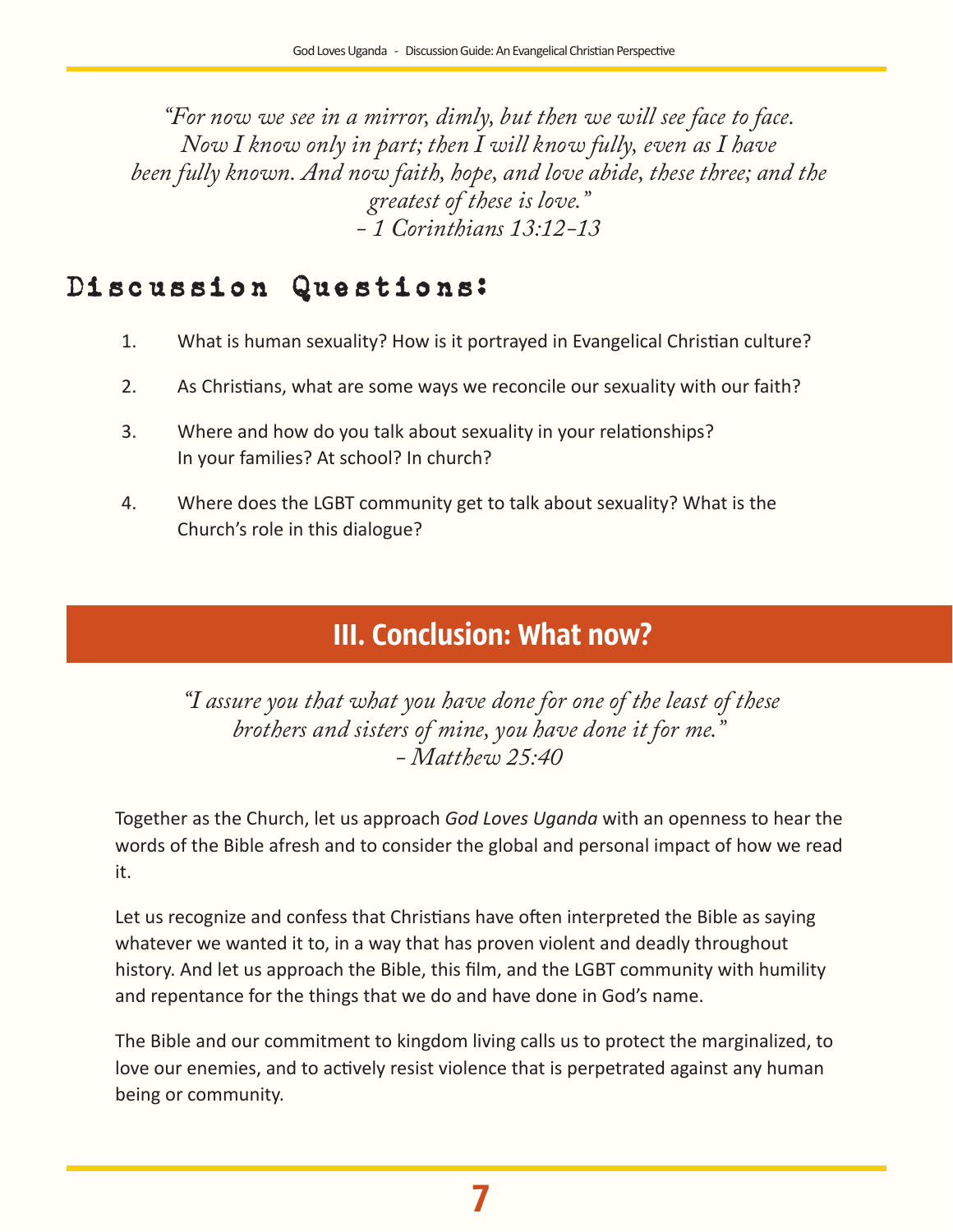*"For now we see in a mirror, dimly, but then we will see face to face. Now I know only in part; then I will know fully, even as I have been fully known. And now faith, hope, and love abide, these three; and the greatest of these is love." - 1 Corinthians 13:12-13*

#### Discussion Questions:

- 1. What is human sexuality? How is it portrayed in Evangelical Christian culture?
- 2. As Christians, what are some ways we reconcile our sexuality with our faith?
- 3. Where and how do you talk about sexuality in your relationships? In your families? At school? In church?
- 4. Where does the LGBT community get to talk about sexuality? What is the Church's role in this dialogue?

#### III. Conclusion: What now?

 *"I assure you that what you have done for one of the least of these brothers and sisters of mine, you have done it for me." - Matthew 25:40*

Together as the Church, let us approach *God Loves Uganda* with an openness to hear the words of the Bible afresh and to consider the global and personal impact of how we read it.

Let us recognize and confess that Christians have often interpreted the Bible as saying whatever we wanted it to, in a way that has proven violent and deadly throughout history. And let us approach the Bible, this film, and the LGBT community with humility and repentance for the things that we do and have done in God's name.

The Bible and our commitment to kingdom living calls us to protect the marginalized, to love our enemies, and to actively resist violence that is perpetrated against any human being or community.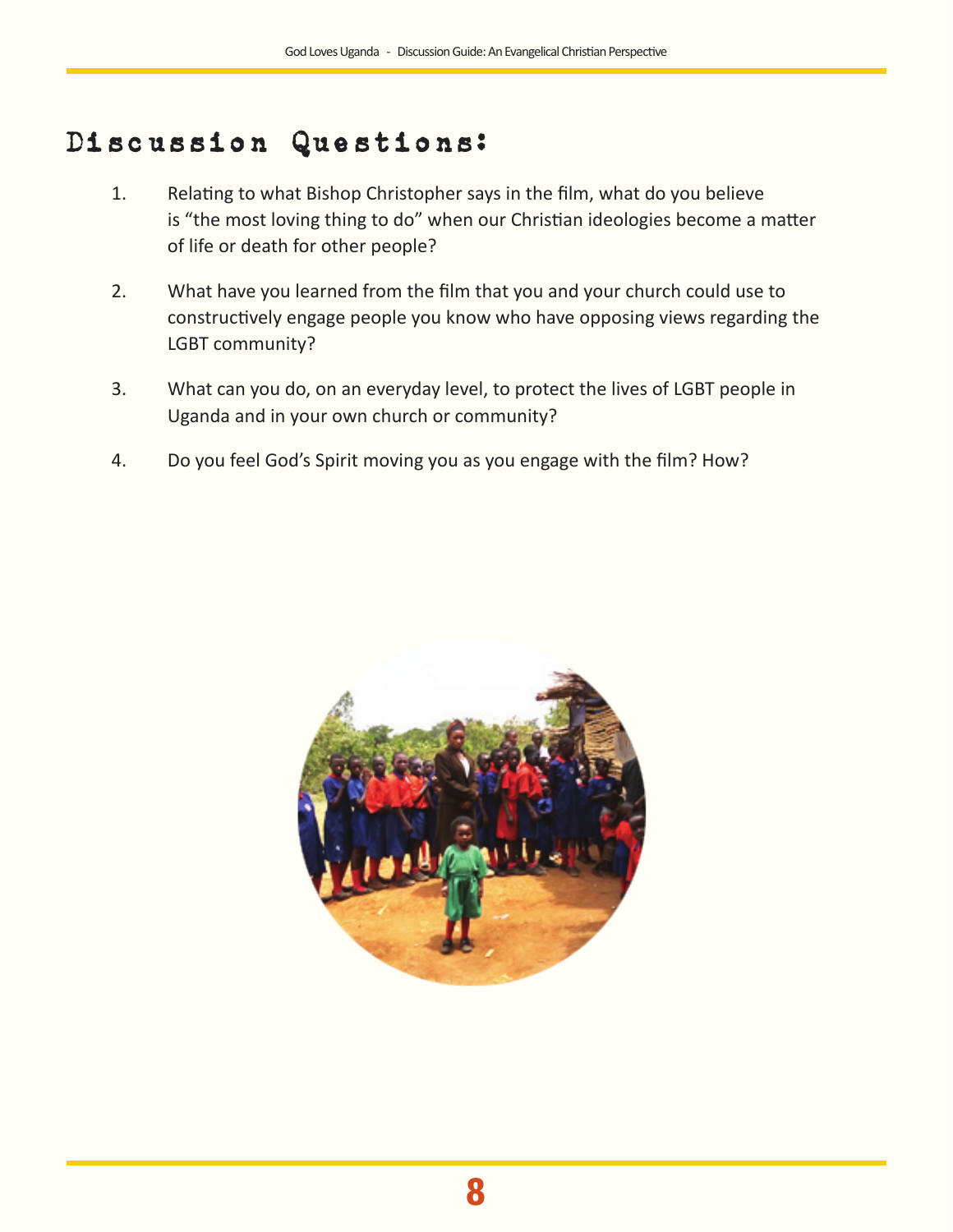#### Discussion Questions:

- 1. Relating to what Bishop Christopher says in the film, what do you believe is "the most loving thing to do" when our Christian ideologies become a matter of life or death for other people?
- 2. What have you learned from the film that you and your church could use to constructively engage people you know who have opposing views regarding the LGBT community?
- 3. What can you do, on an everyday level, to protect the lives of LGBT people in Uganda and in your own church or community?
- 4. Do you feel God's Spirit moving you as you engage with the film? How?

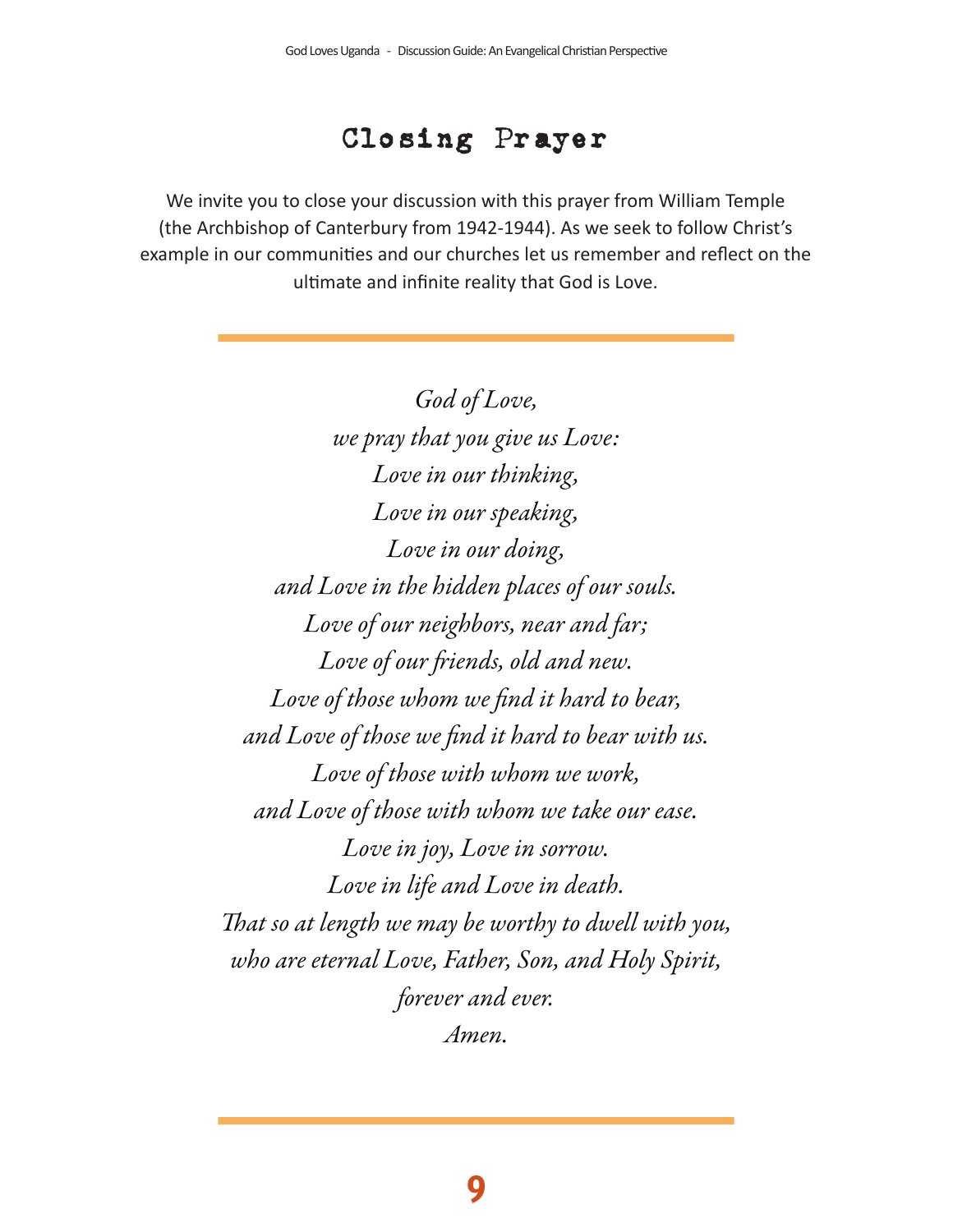#### Closing Prayer

We invite you to close your discussion with this prayer from William Temple (the Archbishop of Canterbury from 1942-1944). As we seek to follow Christ's example in our communities and our churches let us remember and reflect on the ultimate and infinite reality that God is Love.

> *God of Love, we pray that you give us Love: Love in our thinking, Love in our speaking, Love in our doing, and Love in the hidden places of our souls. Love of our neighbors, near and far; Love of our friends, old and new. Love of those whom we find it hard to bear, and Love of those we find it hard to bear with us. Love of those with whom we work, and Love of those with whom we take our ease. Love in joy, Love in sorrow. Love in life and Love in death. That so at length we may be worthy to dwell with you, who are eternal Love, Father, Son, and Holy Spirit, forever and ever. Amen.*